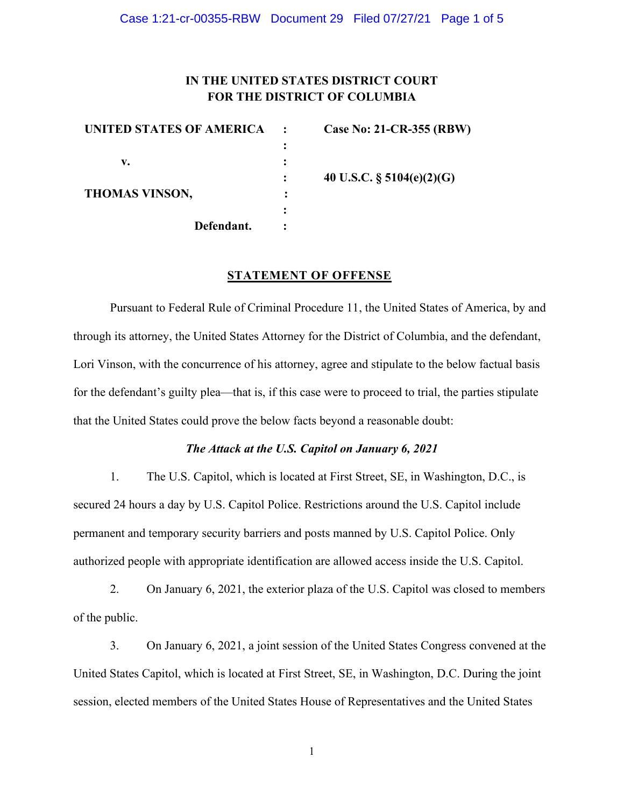#### Case 1:21-cr-00355-RBW Document 29 Filed 07/27/21 Page 1 of 5

# **IN THE UNITED STATES DISTRICT COURT FOR THE DISTRICT OF COLUMBIA**

| UNITED STATES OF AMERICA | Case No: 21-CR-355 (RBW)     |
|--------------------------|------------------------------|
|                          |                              |
| v.                       |                              |
|                          | 40 U.S.C. $\S$ 5104(e)(2)(G) |
| <b>THOMAS VINSON,</b>    |                              |
|                          |                              |
| Defendant.               |                              |

### **STATEMENT OF OFFENSE**

Pursuant to Federal Rule of Criminal Procedure 11, the United States of America, by and through its attorney, the United States Attorney for the District of Columbia, and the defendant, Lori Vinson, with the concurrence of his attorney, agree and stipulate to the below factual basis for the defendant's guilty plea—that is, if this case were to proceed to trial, the parties stipulate that the United States could prove the below facts beyond a reasonable doubt:

## *The Attack at the U.S. Capitol on January 6, 2021*

1. The U.S. Capitol, which is located at First Street, SE, in Washington, D.C., is secured 24 hours a day by U.S. Capitol Police. Restrictions around the U.S. Capitol include permanent and temporary security barriers and posts manned by U.S. Capitol Police. Only authorized people with appropriate identification are allowed access inside the U.S. Capitol.

2. On January 6, 2021, the exterior plaza of the U.S. Capitol was closed to members of the public.

3. On January 6, 2021, a joint session of the United States Congress convened at the United States Capitol, which is located at First Street, SE, in Washington, D.C. During the joint session, elected members of the United States House of Representatives and the United States

1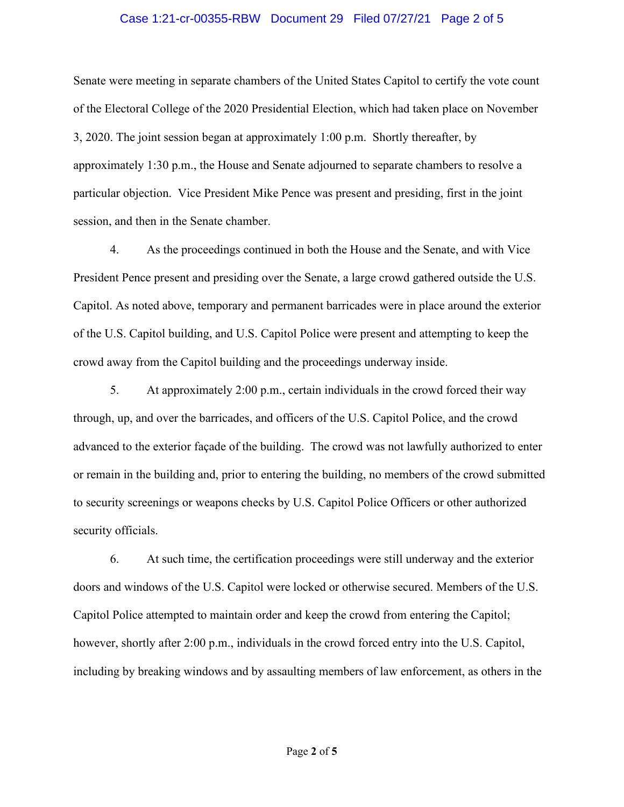## Case 1:21-cr-00355-RBW Document 29 Filed 07/27/21 Page 2 of 5

Senate were meeting in separate chambers of the United States Capitol to certify the vote count of the Electoral College of the 2020 Presidential Election, which had taken place on November 3, 2020. The joint session began at approximately 1:00 p.m. Shortly thereafter, by approximately 1:30 p.m., the House and Senate adjourned to separate chambers to resolve a particular objection. Vice President Mike Pence was present and presiding, first in the joint session, and then in the Senate chamber.

4. As the proceedings continued in both the House and the Senate, and with Vice President Pence present and presiding over the Senate, a large crowd gathered outside the U.S. Capitol. As noted above, temporary and permanent barricades were in place around the exterior of the U.S. Capitol building, and U.S. Capitol Police were present and attempting to keep the crowd away from the Capitol building and the proceedings underway inside.

5. At approximately 2:00 p.m., certain individuals in the crowd forced their way through, up, and over the barricades, and officers of the U.S. Capitol Police, and the crowd advanced to the exterior façade of the building. The crowd was not lawfully authorized to enter or remain in the building and, prior to entering the building, no members of the crowd submitted to security screenings or weapons checks by U.S. Capitol Police Officers or other authorized security officials.

6. At such time, the certification proceedings were still underway and the exterior doors and windows of the U.S. Capitol were locked or otherwise secured. Members of the U.S. Capitol Police attempted to maintain order and keep the crowd from entering the Capitol; however, shortly after 2:00 p.m., individuals in the crowd forced entry into the U.S. Capitol, including by breaking windows and by assaulting members of law enforcement, as others in the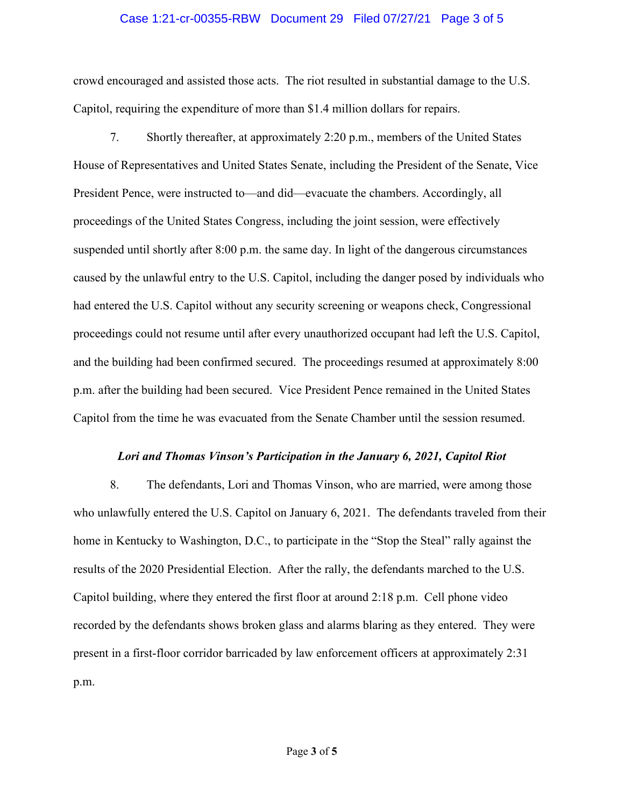### Case 1:21-cr-00355-RBW Document 29 Filed 07/27/21 Page 3 of 5

crowd encouraged and assisted those acts. The riot resulted in substantial damage to the U.S. Capitol, requiring the expenditure of more than \$1.4 million dollars for repairs.

7. Shortly thereafter, at approximately 2:20 p.m., members of the United States House of Representatives and United States Senate, including the President of the Senate, Vice President Pence, were instructed to—and did—evacuate the chambers. Accordingly, all proceedings of the United States Congress, including the joint session, were effectively suspended until shortly after 8:00 p.m. the same day. In light of the dangerous circumstances caused by the unlawful entry to the U.S. Capitol, including the danger posed by individuals who had entered the U.S. Capitol without any security screening or weapons check, Congressional proceedings could not resume until after every unauthorized occupant had left the U.S. Capitol, and the building had been confirmed secured. The proceedings resumed at approximately 8:00 p.m. after the building had been secured. Vice President Pence remained in the United States Capitol from the time he was evacuated from the Senate Chamber until the session resumed.

#### *Lori and Thomas Vinson's Participation in the January 6, 2021, Capitol Riot*

8. The defendants, Lori and Thomas Vinson, who are married, were among those who unlawfully entered the U.S. Capitol on January 6, 2021. The defendants traveled from their home in Kentucky to Washington, D.C., to participate in the "Stop the Steal" rally against the results of the 2020 Presidential Election. After the rally, the defendants marched to the U.S. Capitol building, where they entered the first floor at around 2:18 p.m. Cell phone video recorded by the defendants shows broken glass and alarms blaring as they entered. They were present in a first-floor corridor barricaded by law enforcement officers at approximately 2:31 p.m.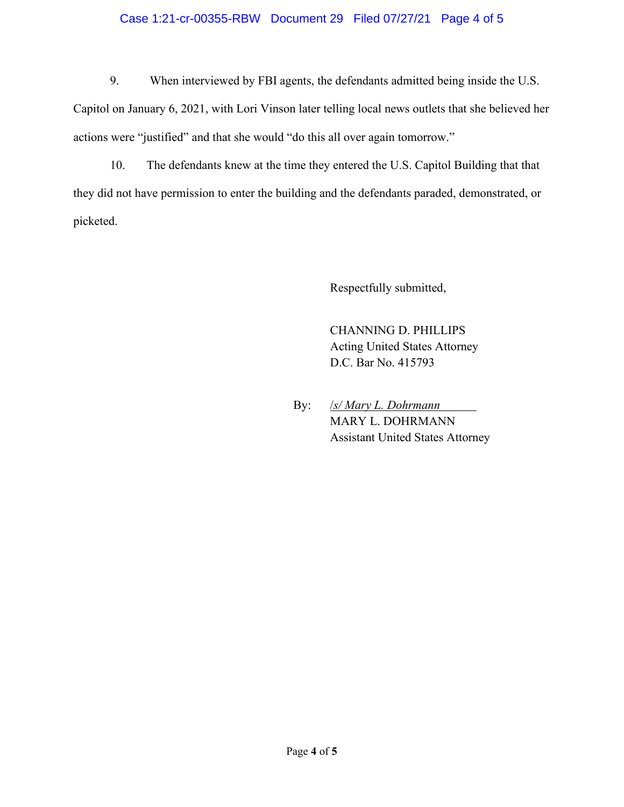## Case 1:21-cr-00355-RBW Document 29 Filed 07/27/21 Page 4 of 5

9. When interviewed by FBI agents, the defendants admitted being inside the U.S.

Capitol on January 6, 2021, with Lori Vinson later telling local news outlets that she believed her actions were "justified" and that she would "do this all over again tomorrow."

10. The defendants knew at the time they entered the U.S. Capitol Building that that they did not have permission to enter the building and the defendants paraded, demonstrated, or picketed.

Respectfully submitted,

CHANNING D. PHILLIPS Acting United States Attorney D.C. Bar No. 415793

By: /*s/ Mary L. Dohrmann* MARY L. DOHRMANN Assistant United States Attorney